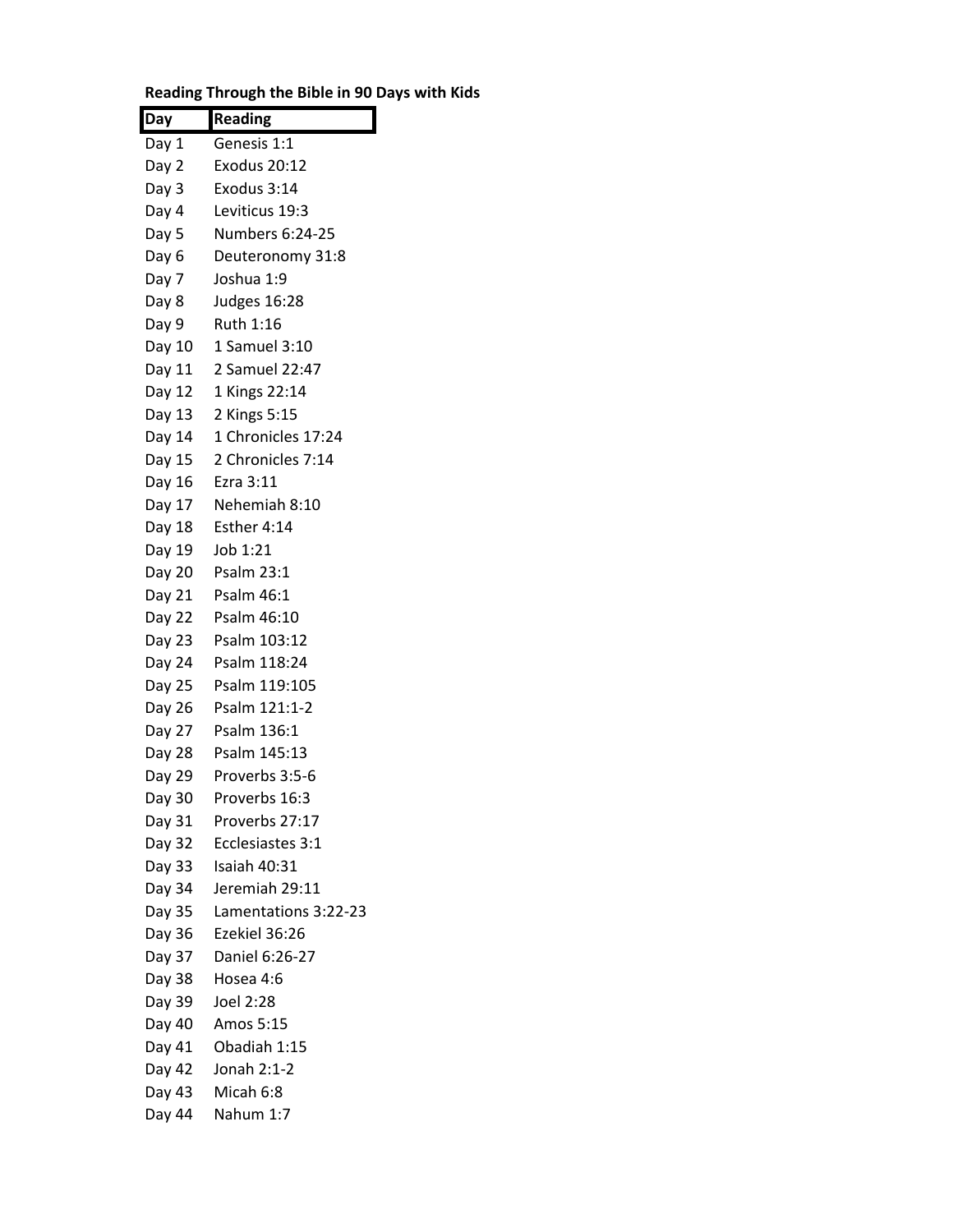| Day    | <b>Reading</b>         |
|--------|------------------------|
| Day 1  | Genesis 1:1            |
| Day 2  | <b>Exodus 20:12</b>    |
| Day 3  | Exodus 3:14            |
| Day 4  | Leviticus 19:3         |
| Day 5  | <b>Numbers 6:24-25</b> |
| Day 6  | Deuteronomy 31:8       |
| Day 7  | Joshua 1:9             |
| Day 8  | Judges 16:28           |
| Day 9  | Ruth 1:16              |
| Day 10 | 1 Samuel 3:10          |
| Day 11 | 2 Samuel 22:47         |
| Day 12 | 1 Kings 22:14          |
| Day 13 | 2 Kings 5:15           |
| Day 14 | 1 Chronicles 17:24     |
| Day 15 | 2 Chronicles 7:14      |
| Day 16 | Ezra 3:11              |
| Day 17 | Nehemiah 8:10          |
| Day 18 | Esther 4:14            |
| Day 19 | Job 1:21               |
|        | Day 20 Psalm 23:1      |
| Day 21 | Psalm 46:1             |
| Day 22 | Psalm 46:10            |
| Day 23 | Psalm 103:12           |
| Day 24 | Psalm 118:24           |
| Day 25 | Psalm 119:105          |
| Day 26 | Psalm 121:1-2          |
| Day 27 | Psalm 136:1            |
| Day 28 | Psalm 145:13           |
| Day 29 | Proverbs 3:5-6         |
| Day 30 | Proverbs 16:3          |
| Day 31 | Proverbs 27:17         |
| Day 32 | Ecclesiastes 3:1       |
| Day 33 | Isaiah 40:31           |
| Day 34 | Jeremiah 29:11         |
| Day 35 | Lamentations 3:22-23   |
| Day 36 | Ezekiel 36:26          |
| Day 37 | Daniel 6:26-27         |
| Day 38 | Hosea 4:6              |
| Day 39 | Joel 2:28              |
| Day 40 | Amos 5:15              |
| Day 41 | Obadiah 1:15           |
| Day 42 | Jonah 2:1-2            |
| Day 43 | Micah 6:8              |
| Day 44 | Nahum 1:7              |

## **Reading Through the Bible in 90 Days with Kids**